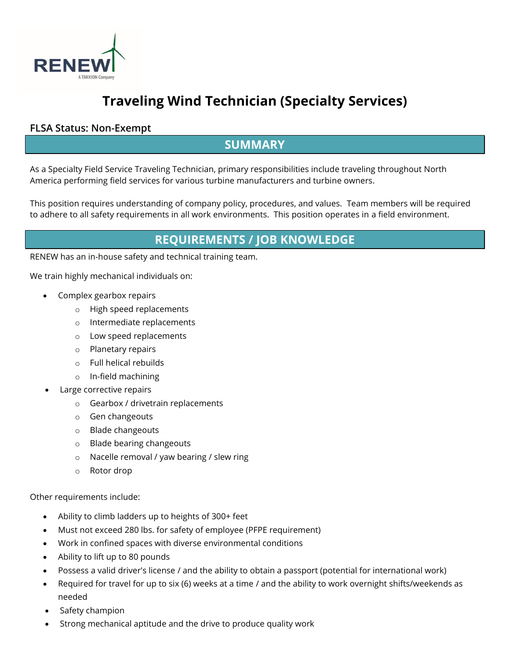

# **Traveling Wind Technician (Specialty Services)**

#### **FLSA Status: Non-Exempt**

### **SUMMARY**

As a Specialty Field Service Traveling Technician, primary responsibilities include traveling throughout North America performing field services for various turbine manufacturers and turbine owners.

This position requires understanding of company policy, procedures, and values. Team members will be required to adhere to all safety requirements in all work environments. This position operates in a field environment.

## **REQUIREMENTS / JOB KNOWLEDGE**

RENEW has an in-house safety and technical training team.

We train highly mechanical individuals on:

- Complex gearbox repairs
	- o High speed replacements
	- o Intermediate replacements
	- o Low speed replacements
	- o Planetary repairs
	- o Full helical rebuilds
	- o In-field machining
- Large corrective repairs
	- o Gearbox / drivetrain replacements
	- o Gen changeouts
	- o Blade changeouts
	- o Blade bearing changeouts
	- o Nacelle removal / yaw bearing / slew ring
	- o Rotor drop

Other requirements include:

- Ability to climb ladders up to heights of 300+ feet
- Must not exceed 280 lbs. for safety of employee (PFPE requirement)
- Work in confined spaces with diverse environmental conditions
- Ability to lift up to 80 pounds
- Possess a valid driver's license / and the ability to obtain a passport (potential for international work)
- Required for travel for up to six (6) weeks at a time / and the ability to work overnight shifts/weekends as needed
- Safety champion
- Strong mechanical aptitude and the drive to produce quality work